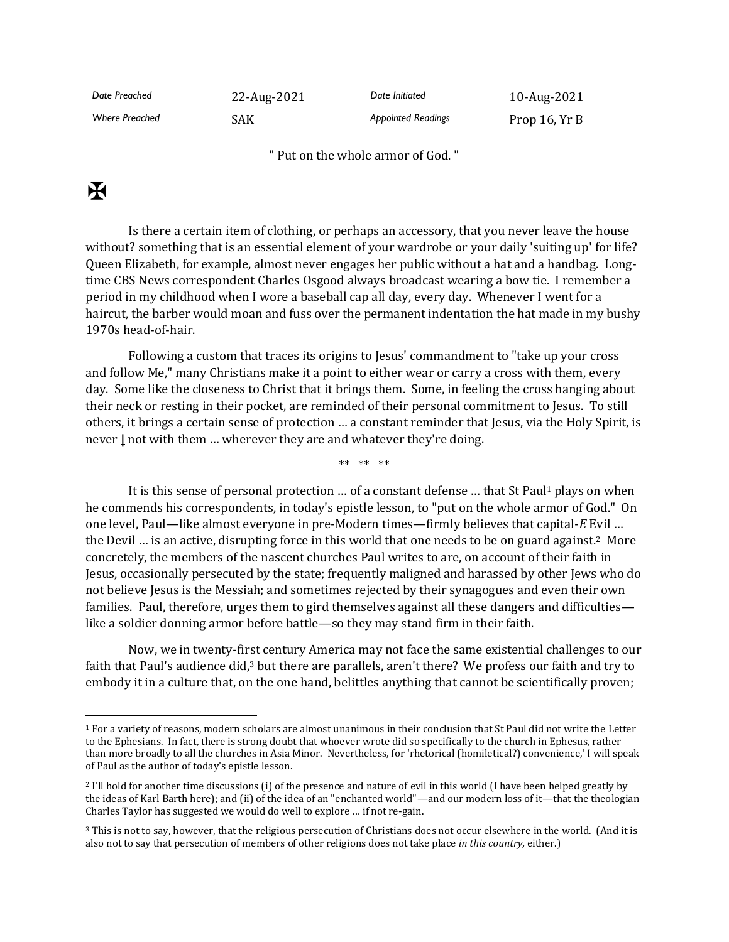| Date Preached         | 22-Aug-2021 | Date Initiated            | 10-Aug-2021   |
|-----------------------|-------------|---------------------------|---------------|
| <b>Where Preached</b> | SAK         | <b>Appointed Readings</b> | Prop 16, Yr B |

" Put on the whole armor of God. "

## $\mathbf K$

Is there a certain item of clothing, or perhaps an accessory, that you never leave the house without? something that is an essential element of your wardrobe or your daily 'suiting up' for life? Queen Elizabeth, for example, almost never engages her public without a hat and a handbag. Longtime CBS News correspondent Charles Osgood always broadcast wearing a bow tie. I remember a period in my childhood when I wore a baseball cap all day, every day. Whenever I went for a haircut, the barber would moan and fuss over the permanent indentation the hat made in my bushy 1970s head-of-hair.

Following a custom that traces its origins to Jesus' commandment to "take up your cross and follow Me," many Christians make it a point to either wear or carry a cross with them, every day. Some like the closeness to Christ that it brings them. Some, in feeling the cross hanging about their neck or resting in their pocket, are reminded of their personal commitment to Jesus. To still others, it brings a certain sense of protection … a constant reminder that Jesus, via the Holy Spirit, is never **|** not with them … wherever they are and whatever they're doing.

\*\* \*\* \*\*

It is this sense of personal protection ... of a constant defense ... that St Paul<sup>1</sup> plays on when he commends his correspondents, in today's epistle lesson, to "put on the whole armor of God." On one level, Paul—like almost everyone in pre-Modern times—firmly believes that capital-*E* Evil … the Devil … is an active, disrupting force in this world that one needs to be on guard against.2 More concretely, the members of the nascent churches Paul writes to are, on account of their faith in Jesus, occasionally persecuted by the state; frequently maligned and harassed by other Jews who do not believe Jesus is the Messiah; and sometimes rejected by their synagogues and even their own families. Paul, therefore, urges them to gird themselves against all these dangers and difficulties like a soldier donning armor before battle—so they may stand firm in their faith.

Now, we in twenty-first century America may not face the same existential challenges to our faith that Paul's audience did,<sup>3</sup> but there are parallels, aren't there? We profess our faith and try to embody it in a culture that, on the one hand, belittles anything that cannot be scientifically proven;

<sup>1</sup> For a variety of reasons, modern scholars are almost unanimous in their conclusion that St Paul did not write the Letter to the Ephesians. In fact, there is strong doubt that whoever wrote did so specifically to the church in Ephesus, rather than more broadly to all the churches in Asia Minor. Nevertheless, for 'rhetorical (homiletical?) convenience,' I will speak of Paul as the author of today's epistle lesson.

<sup>2</sup> I'll hold for another time discussions (i) of the presence and nature of evil in this world (I have been helped greatly by the ideas of Karl Barth here); and (ii) of the idea of an "enchanted world"—and our modern loss of it—that the theologian Charles Taylor has suggested we would do well to explore … if not re-gain.

<sup>&</sup>lt;sup>3</sup> This is not to say, however, that the religious persecution of Christians does not occur elsewhere in the world. (And it is also not to say that persecution of members of other religions does not take place *in this country,* either.)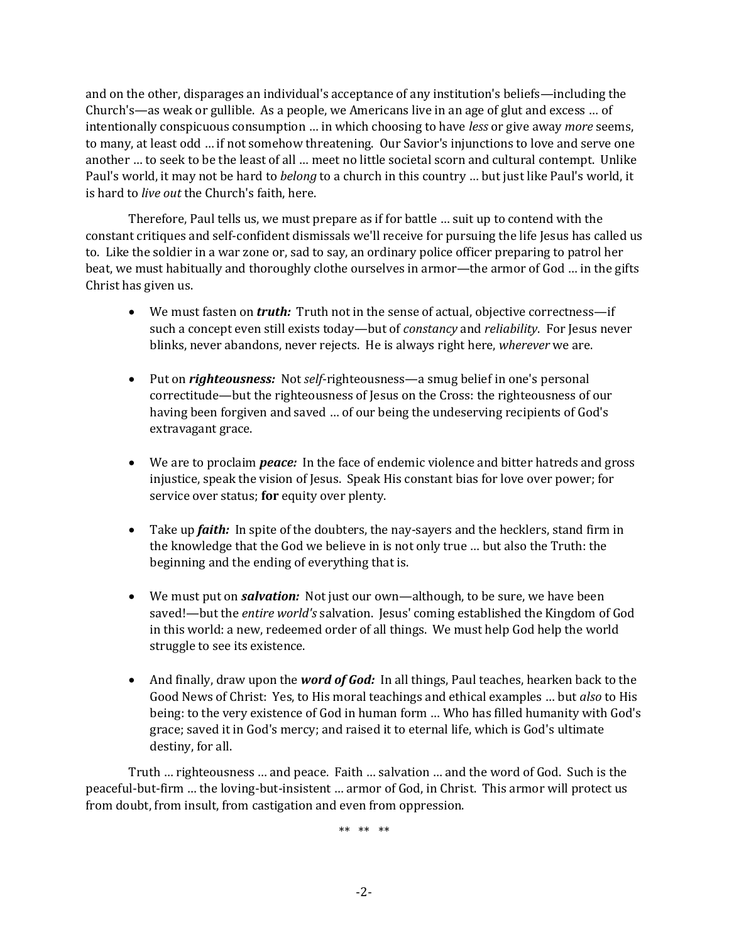and on the other, disparages an individual's acceptance of any institution's beliefs—including the Church's—as weak or gullible. As a people, we Americans live in an age of glut and excess … of intentionally conspicuous consumption … in which choosing to have *less* or give away *more* seems, to many, at least odd … if not somehow threatening. Our Savior's injunctions to love and serve one another … to seek to be the least of all … meet no little societal scorn and cultural contempt. Unlike Paul's world, it may not be hard to *belong* to a church in this country … but just like Paul's world, it is hard to *live out* the Church's faith, here.

Therefore, Paul tells us, we must prepare as if for battle … suit up to contend with the constant critiques and self-confident dismissals we'll receive for pursuing the life Jesus has called us to. Like the soldier in a war zone or, sad to say, an ordinary police officer preparing to patrol her beat, we must habitually and thoroughly clothe ourselves in armor—the armor of God … in the gifts Christ has given us.

- We must fasten on *truth:* Truth not in the sense of actual, objective correctness—if such a concept even still exists today—but of *constancy* and *reliability*. For Jesus never blinks, never abandons, never rejects. He is always right here, *wherever* we are.
- Put on *righteousness:* Not *self*-righteousness—a smug belief in one's personal correctitude—but the righteousness of Jesus on the Cross: the righteousness of our having been forgiven and saved … of our being the undeserving recipients of God's extravagant grace.
- We are to proclaim *peace:* In the face of endemic violence and bitter hatreds and gross injustice, speak the vision of Jesus. Speak His constant bias for love over power; for service over status; **for** equity over plenty.
- Take up *faith:* In spite of the doubters, the nay-sayers and the hecklers, stand firm in the knowledge that the God we believe in is not only true … but also the Truth: the beginning and the ending of everything that is.
- We must put on *salvation:* Not just our own—although, to be sure, we have been saved!—but the *entire world's* salvation. Jesus' coming established the Kingdom of God in this world: a new, redeemed order of all things. We must help God help the world struggle to see its existence.
- And finally, draw upon the *word of God:* In all things, Paul teaches, hearken back to the Good News of Christ: Yes, to His moral teachings and ethical examples … but *also* to His being: to the very existence of God in human form … Who has filled humanity with God's grace; saved it in God's mercy; and raised it to eternal life, which is God's ultimate destiny, for all.

Truth … righteousness … and peace. Faith … salvation … and the word of God. Such is the peaceful-but-firm … the loving-but-insistent … armor of God, in Christ. This armor will protect us from doubt, from insult, from castigation and even from oppression.

\*\* \*\* \*\*